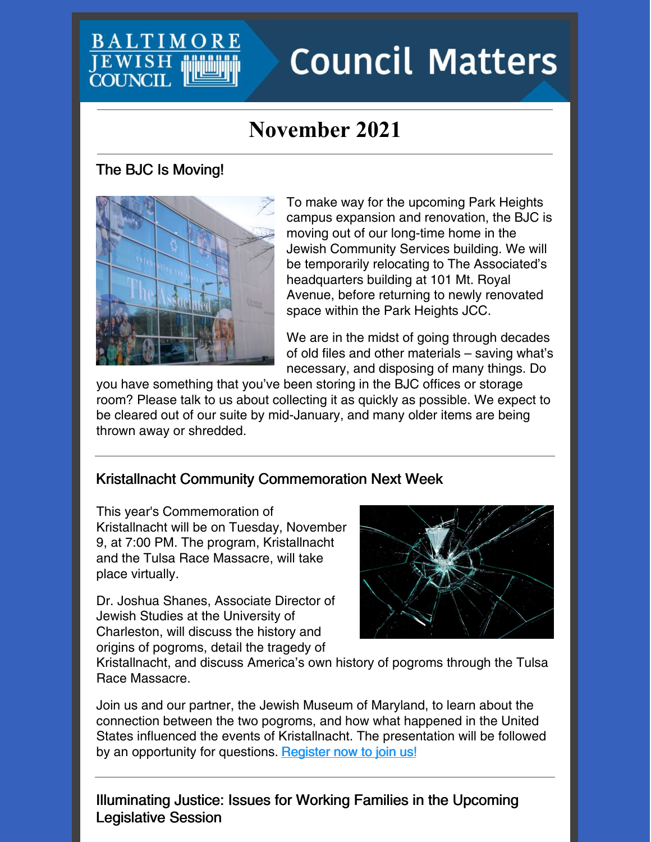### **BALTIMO JEWISH COUNCH**

# **Council Matters**

## **November 2021**

#### The BJC Is Moving!



To make way for the upcoming Park Heights campus expansion and renovation, the BJC is moving out of our long-time home in the Jewish Community Services building. We will be temporarily relocating to The Associated's headquarters building at 101 Mt. Royal Avenue, before returning to newly renovated space within the Park Heights JCC.

We are in the midst of going through decades of old files and other materials – saving what's necessary, and disposing of many things. Do

you have something that you've been storing in the BJC offices or storage room? Please talk to us about collecting it as quickly as possible. We expect to be cleared out of our suite by mid-January, and many older items are being thrown away or shredded.

#### Kristallnacht Community Commemoration Next Week

This year's Commemoration of Kristallnacht will be on Tuesday, November 9, at 7:00 PM. The program, Kristallnacht and the Tulsa Race Massacre, will take place virtually.

Dr. Joshua Shanes, Associate Director of Jewish Studies at the University of Charleston, will discuss the history and origins of pogroms, detail the tragedy of



Kristallnacht, and discuss America's own history of pogroms through the Tulsa Race Massacre.

Join us and our partner, the Jewish Museum of Maryland, to learn about the connection between the two pogroms, and how what happened in the United States influenced the events of Kristallnacht. The presentation will be followed by an opportunity for questions. [Register](https://jcfb.zoom.us/webinar/register/WN_k0NUYq3kSCa9dmojSQVGWg) now to join us!

Illuminating Justice: Issues for Working Families in the Upcoming Legislative Session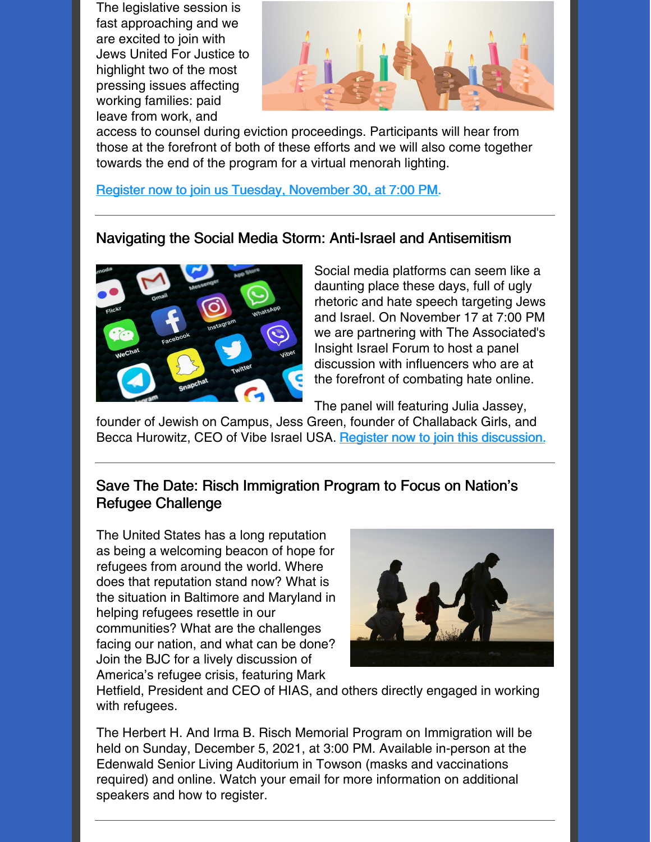The legislative session is fast approaching and we are excited to join with Jews United For Justice to highlight two of the most pressing issues affecting working families: paid leave from work, and



access to counsel during eviction proceedings. Participants will hear from those at the forefront of both of these efforts and we will also come together towards the end of the program for a virtual menorah lighting.

Register now to join us Tuesday, [November](https://jcfb.zoom.us/meeting/register/tJUpcuiuqz8jHtUIdE8er-mp4tw9Hr-c80oa) 30, at 7:00 PM.

#### Navigating the Social Media Storm: Anti-Israel and Antisemitism



Social media platforms can seem like a daunting place these days, full of ugly rhetoric and hate speech targeting Jews and Israel. On November 17 at 7:00 PM we are partnering with The Associated's Insight Israel Forum to host a panel discussion with influencers who are at the forefront of combating hate online.

The panel will featuring Julia Jassey,

founder of Jewish on Campus, Jess Green, founder of Challaback Girls, and Becca Hurowitz, CEO of Vibe Israel USA. Register now to join this [discussion.](https://associated.org/event/navigating-the-social-media-storm-anti-israel-and-antisemitism/)

#### Save The Date: Risch Immigration Program to Focus on Nation's Refugee Challenge

The United States has a long reputation as being a welcoming beacon of hope for refugees from around the world. Where does that reputation stand now? What is the situation in Baltimore and Maryland in helping refugees resettle in our communities? What are the challenges facing our nation, and what can be done? Join the BJC for a lively discussion of America's refugee crisis, featuring Mark



Hetfield, President and CEO of HIAS, and others directly engaged in working with refugees.

The Herbert H. And Irma B. Risch Memorial Program on Immigration will be held on Sunday, December 5, 2021, at 3:00 PM. Available in-person at the Edenwald Senior Living Auditorium in Towson (masks and vaccinations required) and online. Watch your email for more information on additional speakers and how to register.